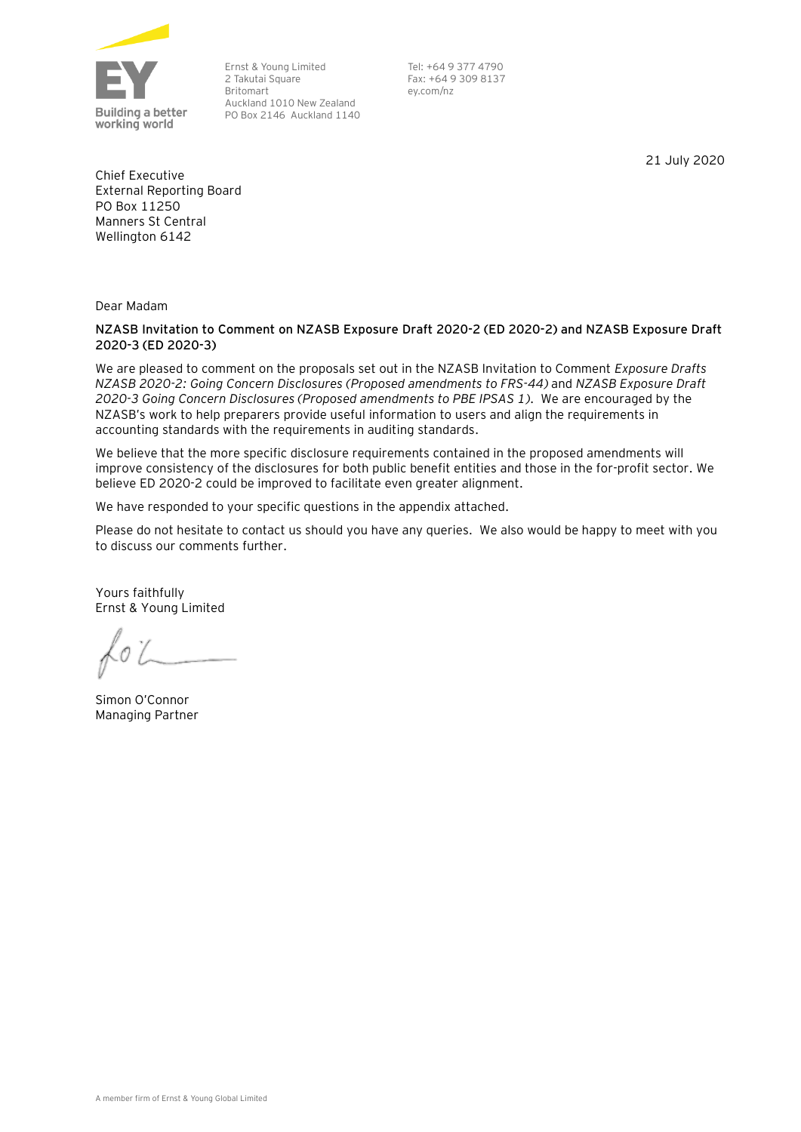

Ernst & Young Limited 2 Takutai Square Britomart Auckland 1010 New Zealand PO Box 2146 Auckland 1140

Tel: +64 9 377 4790 Fax: +64 9 309 8137 ey.com/nz

21 July 2020

Chief Executive External Reporting Board PO Box 11250 Manners St Central Wellington 6142

Dear Madam

# **NZASB Invitation to Comment on NZASB Exposure Draft 2020-2 (ED 2020-2) and NZASB Exposure Draft 2020-3 (ED 2020-3)**

We are pleased to comment on the proposals set out in the NZASB Invitation to Comment *Exposure Drafts NZASB 2020-2: Going Concern Disclosures (Proposed amendments to FRS-44)* and *NZASB Exposure Draft 2020-3 Going Concern Disclosures (Proposed amendments to PBE IPSAS 1)*. We are encouraged by the NZASB's work to help preparers provide useful information to users and align the requirements in accounting standards with the requirements in auditing standards.

We believe that the more specific disclosure requirements contained in the proposed amendments will improve consistency of the disclosures for both public benefit entities and those in the for-profit sector. We believe ED 2020-2 could be improved to facilitate even greater alignment.

We have responded to your specific questions in the appendix attached.

Please do not hesitate to contact us should you have any queries. We also would be happy to meet with you to discuss our comments further.

Yours faithfully Ernst & Young Limited

Simon O'Connor Managing Partner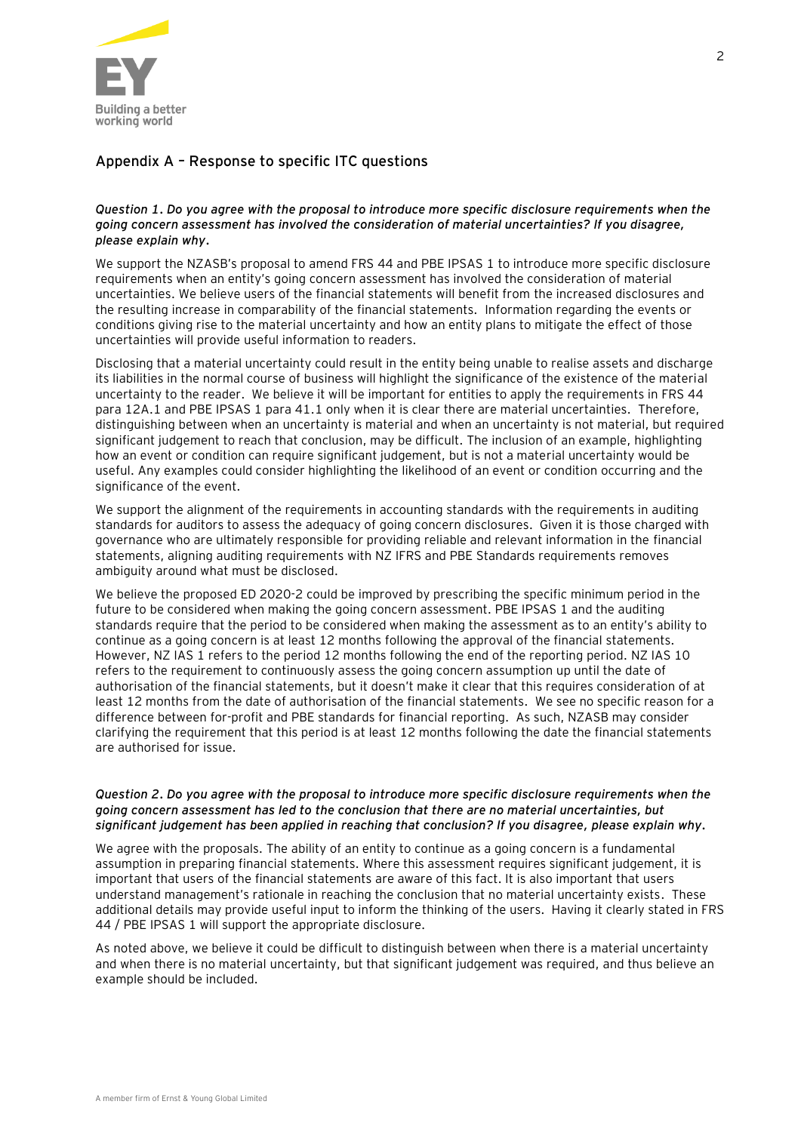

# **Appendix A – Response to specific ITC questions**

# *Question 1. Do you agree with the proposal to introduce more specific disclosure requirements when the going concern assessment has involved the consideration of material uncertainties? If you disagree, please explain why.*

We support the NZASB's proposal to amend FRS 44 and PBE IPSAS 1 to introduce more specific disclosure requirements when an entity's going concern assessment has involved the consideration of material uncertainties. We believe users of the financial statements will benefit from the increased disclosures and the resulting increase in comparability of the financial statements. Information regarding the events or conditions giving rise to the material uncertainty and how an entity plans to mitigate the effect of those uncertainties will provide useful information to readers.

Disclosing that a material uncertainty could result in the entity being unable to realise assets and discharge its liabilities in the normal course of business will highlight the significance of the existence of the material uncertainty to the reader. We believe it will be important for entities to apply the requirements in FRS 44 para 12A.1 and PBE IPSAS 1 para 41.1 only when it is clear there are material uncertainties. Therefore, distinguishing between when an uncertainty is material and when an uncertainty is not material, but required significant judgement to reach that conclusion, may be difficult. The inclusion of an example, highlighting how an event or condition can require significant judgement, but is not a material uncertainty would be useful. Any examples could consider highlighting the likelihood of an event or condition occurring and the significance of the event.

We support the alignment of the requirements in accounting standards with the requirements in auditing standards for auditors to assess the adequacy of going concern disclosures. Given it is those charged with governance who are ultimately responsible for providing reliable and relevant information in the financial statements, aligning auditing requirements with NZ IFRS and PBE Standards requirements removes ambiguity around what must be disclosed.

We believe the proposed ED 2020-2 could be improved by prescribing the specific minimum period in the future to be considered when making the going concern assessment. PBE IPSAS 1 and the auditing standards require that the period to be considered when making the assessment as to an entity's ability to continue as a going concern is at least 12 months following the approval of the financial statements. However, NZ IAS 1 refers to the period 12 months following the end of the reporting period. NZ IAS 10 refers to the requirement to continuously assess the going concern assumption up until the date of authorisation of the financial statements, but it doesn't make it clear that this requires consideration of at least 12 months from the date of authorisation of the financial statements. We see no specific reason for a difference between for-profit and PBE standards for financial reporting. As such, NZASB may consider clarifying the requirement that this period is at least 12 months following the date the financial statements are authorised for issue.

### *Question 2. Do you agree with the proposal to introduce more specific disclosure requirements when the going concern assessment has led to the conclusion that there are no material uncertainties, but significant judgement has been applied in reaching that conclusion? If you disagree, please explain why.*

We agree with the proposals. The ability of an entity to continue as a going concern is a fundamental assumption in preparing financial statements. Where this assessment requires significant judgement, it is important that users of the financial statements are aware of this fact. It is also important that users understand management's rationale in reaching the conclusion that no material uncertainty exists. These additional details may provide useful input to inform the thinking of the users. Having it clearly stated in FRS 44 / PBE IPSAS 1 will support the appropriate disclosure.

As noted above, we believe it could be difficult to distinguish between when there is a material uncertainty and when there is no material uncertainty, but that significant judgement was required, and thus believe an example should be included.